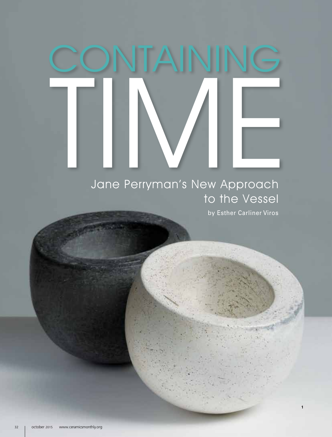## Jane Perryman's New Approach CONTAINING

## Jane Perryman's New Approach to the Vessel

by Esther Carliner Viros

**1**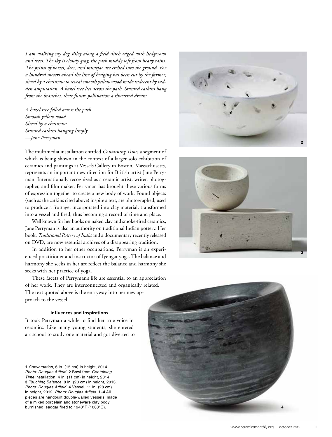*I am walking my dog Riley along a field ditch edged with hedgerows and trees. The sky is cloudy gray, the path muddy soft from heavy rains. The prints of horses, deer, and muntjac are etched into the ground. For a hundred meters ahead the line of hedging has been cut by the farmer, sliced by a chainsaw to reveal smooth yellow wood made indecent by sudden amputation. A hazel tree lies across the path. Stunted catkins hang from the branches, their future pollination a thwarted dream.*

*A hazel tree felled across the path Smooth yellow wood Sliced by a chainsaw Stunted catkins hanging limply —Jane Perryman*

The multimedia installation entitled *Containing Time*, a segment of which is being shown in the context of a larger solo exhibition of ceramics and paintings at Vessels Gallery in Boston, Massachusetts, represents an important new direction for British artist Jane Perryman. Internationally recognized as a ceramic artist, writer, photographer, and film maker, Perryman has brought these various forms of expression together to create a new body of work. Found objects (such as the catkins cited above) inspire a text, are photographed, used to produce a frottage, incorporated into clay material, transformed into a vessel and fired, thus becoming a record of time and place.

Well known for her books on naked clay and smoke-fired ceramics, Jane Perryman is also an authority on traditional Indian pottery. Her book, *Traditional Pottery of India* and a documentary recently released on DVD, are now essential archives of a disappearing tradition.

In addition to her other occupations, Perryman is an experienced practitioner and instructor of Iyengar yoga. The balance and harmony she seeks in her art reflect the balance and harmony she seeks with her practice of yoga.

These facets of Perryman's life are essential to an appreciation of her work. They are interconnected and organically related. The text quoted above is the entryway into her new approach to the vessel.

## **Influences and Inspirations**

It took Perryman a while to find her true voice in ceramics. Like many young students, she entered art school to study one material and got diverted to

**1** *Conversation*, 6 in. (15 cm) in height, 2014. *Photo: Douglas Atfield*. **2** Bowl from *Containing Time* installation, 4 in. (11 cm) in height, 2014. **3** *Touching Balance*, 8 in. (20 cm) in height, 2013. *Photo: Douglas Atfield*. **4** Vessel, 11 in. (28 cm) in height, 2012. *Photo: Douglas Atfield*. **1–4** All pieces are handbuilt double-walled vessels, made of a mixed porcelain and stoneware clay body, burnished, saggar fired to 1940°F (1060°C).





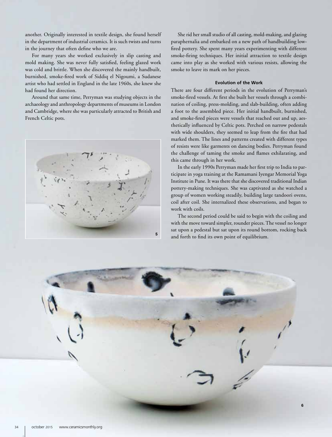another. Originally interested in textile design, she found herself in the department of industrial ceramics. It is such twists and turns in the journey that often define who we are.

For many years she worked exclusively in slip casting and mold making. She was never fully satisfied, feeling glazed work was cold and brittle. When she discovered the mainly handbuilt, burnished, smoke-fired work of Siddiq el Nigoumi, a Sudanese artist who had settled in England in the late 1960s, she knew she had found her direction.

Around that same time, Perryman was studying objects in the archaeology and anthropology departments of museums in London and Cambridge, where she was particularly attracted to British and French Celtic pots.



She rid her small studio of all casting, mold-making, and glazing paraphernalia and embarked on a new path of handbuilding lowfired pottery. She spent many years experimenting with different smoke-firing techniques. Her initial attraction to textile design came into play as she worked with various resists, allowing the smoke to leave its mark on her pieces.

## **Evolution of the Work**

There are four different periods in the evolution of Perryman's smoke-fired vessels. At first she built her vessels through a combination of coiling, press-molding, and slab-building, often adding a foot to the assembled piece. Her initial handbuilt, burnished, and smoke-fired pieces were vessels that reached out and up, aesthetically influenced by Celtic pots. Perched on narrow pedestals with wide shoulders, they seemed to leap from the fire that had marked them. The lines and patterns created with different types of resists were like garments on dancing bodies. Perryman found the challenge of taming the smoke and flames exhilarating, and this came through in her work.

In the early 1990s Perryman made her first trip to India to participate in yoga training at the Ramamani Iyengar Memorial Yoga Institute in Pune. It was there that she discovered traditional Indian pottery-making techniques. She was captivated as she watched a group of women working steadily, building large tandoori ovens, coil after coil. She internalized these observations, and began to work with coils.

The second period could be said to begin with the coiling and with the move toward simpler, rounder pieces. The vessel no longer sat upon a pedestal but sat upon its round bottom, rocking back and forth to find its own point of equilibrium.